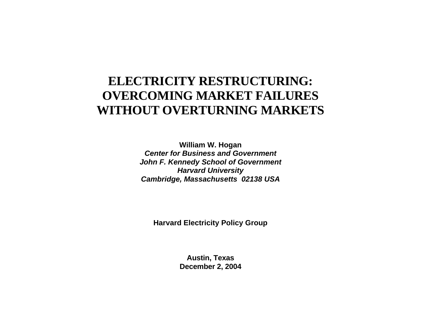# **ELECTRICITY RESTRUCTURING: OVERCOMING MARKET FAILURES WITHOUT OVERTURNING MARKETS**

**William W. Hogan**  *Center for Business and Government John F. Kennedy School of Government Harvard University Cambridge, Massachusetts 02138 USA*

**Harvard Electricity Policy Group** 

**Austin, Texas December 2, 2004**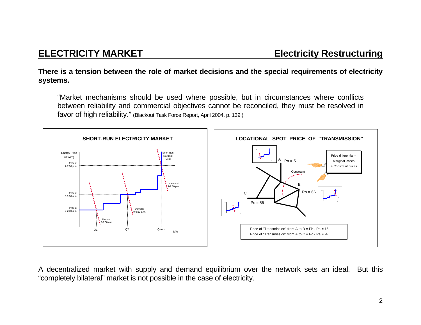#### **There is a tension between the role of market decisions and the special requirements of electricity systems.**

"Market mechanisms should be used where possible, but in circumstances where conflicts between reliability and commercial objectives cannot be reconciled, they must be resolved in favor of high reliability." (Blackout Task Force Report, April 2004, p. 139.)



A decentralized market with supply and demand equilibrium over the network sets an ideal. But this "completely bilateral" market is not possible in the case of electricity.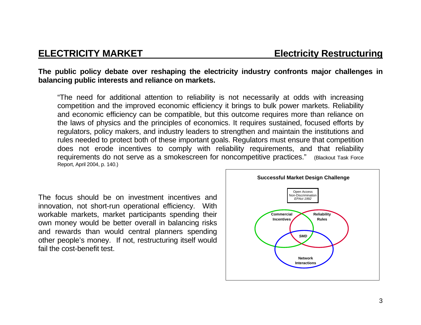### **The public policy debate over reshaping the electricity industry confronts major challenges in balancing public interests and reliance on markets.**

"The need for additional attention to reliability is not necessarily at odds with increasing competition and the improved economic efficiency it brings to bulk power markets. Reliability and economic efficiency can be compatible, but this outcome requires more than reliance on the laws of physics and the principles of economics. It requires sustained, focused efforts by regulators, policy makers, and industry leaders to strengthen and maintain the institutions and rules needed to protect both of these important goals. Regulators must ensure that competition does not erode incentives to comply with reliability requirements, and that reliability requirements do not serve as a smokescreen for noncompetitive practices." (Blackout Task Force Report, April 2004, p. 140.)

The focus should be on investment incentives and innovation, not short-run operational efficiency. With workable markets, market participants spending their own money would be better overall in balancing risks and rewards than would central planners spending other people's money. If not, restructuring itself would fail the cost-benefit test.

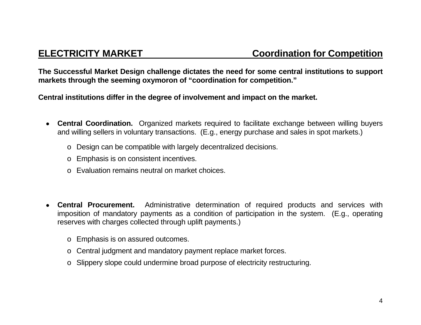**The Successful Market Design challenge dictates the need for some central institutions to support markets through the seeming oxymoron of "coordination for competition."** 

**Central institutions differ in the degree of involvement and impact on the market.** 

- • **Central Coordination.** Organized markets required to facilitate exchange between willing buyers and willing sellers in voluntary transactions. (E.g., energy purchase and sales in spot markets.)
	- <sup>o</sup> Design can be compatible with largely decentralized decisions.
	- <sup>o</sup> Emphasis is on consistent incentives.
	- o Evaluation remains neutral on market choices.
- • **Central Procurement.** Administrative determination of required products and services with imposition of mandatory payments as a condition of participation in the system. (E.g., operating reserves with charges collected through uplift payments.)
	- <sup>o</sup> Emphasis is on assured outcomes.
	- <sup>o</sup> Central judgment and mandatory payment replace market forces.
	- o Slippery slope could undermine broad purpose of electricity restructuring.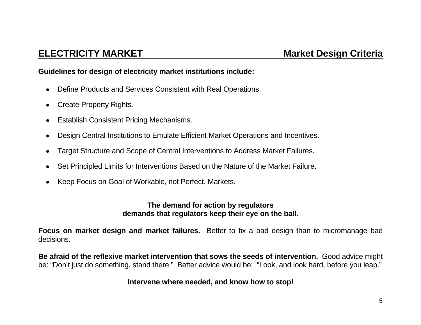#### **Guidelines for design of electricity market institutions include:**

- $\bullet$ Define Products and Services Consistent with Real Operations.
- •Create Property Rights.
- $\bullet$ Establish Consistent Pricing Mechanisms.
- •Design Central Institutions to Emulate Efficient Market Operations and Incentives.
- •Target Structure and Scope of Central Interventions to Address Market Failures.
- •Set Principled Limits for Interventions Based on the Nature of the Market Failure.
- •Keep Focus on Goal of Workable, not Perfect, Markets.

#### **The demand for action by regulators demands that regulators keep their eye on the ball.**

**Focus on market design and market failures.** Better to fix a bad design than to micromanage bad decisions.

**Be afraid of the reflexive market intervention that sows the seeds of intervention.** Good advice might be: "Don't just do something, stand there." Better advice would be: "Look, and look hard, before you leap."

### **Intervene where needed, and know how to stop!**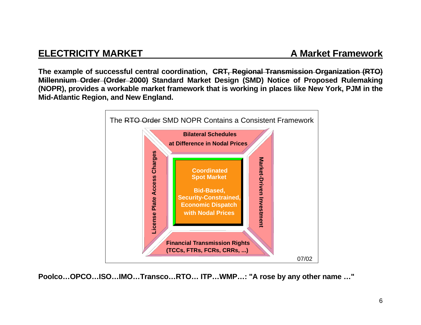## **ELECTRICITY MARKET A Market Framework**

**The example of successful central coordination, CRT, Regional Transmission Organization (RTO) Millennium Order (Order 2000) Standard Market Design (SMD) Notice of Proposed Rulemaking (NOPR), provides a workable market framework that is working in places like New York, PJM in the Mid-Atlantic Region, and New England.** 



**Poolco…OPCO…ISO…IMO…Transco…RTO… ITP…WMP…: "A rose by any other name …"**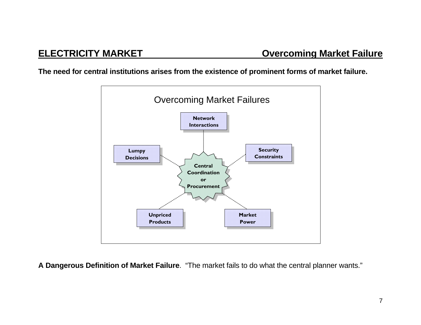**The need for central institutions arises from the existence of prominent forms of market failure.** 



**A Dangerous Definition of Market Failure**. "The market fails to do what the central planner wants."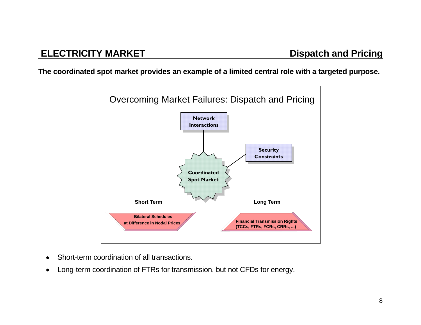**The coordinated spot market provides an example of a limited central role with a targeted purpose.** 



- •Short-term coordination of all transactions.
- •Long-term coordination of FTRs for transmission, but not CFDs for energy.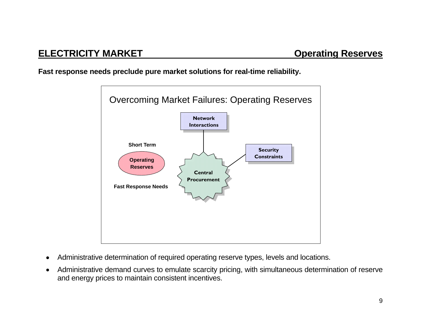**Fast response needs preclude pure market solutions for real-time reliability.** 



- •Administrative determination of required operating reserve types, levels and locations.
- • Administrative demand curves to emulate scarcity pricing, with simultaneous determination of reserve and energy prices to maintain consistent incentives.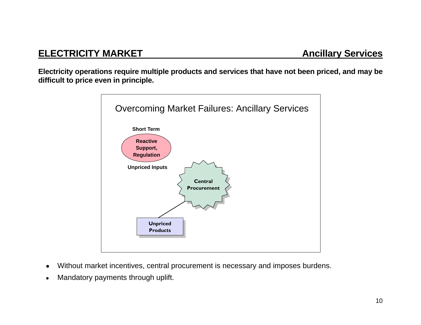**Electricity operations require multiple products and services that have not been priced, and may be difficult to price even in principle.** 



- •Without market incentives, central procurement is necessary and imposes burdens.
- •Mandatory payments through uplift.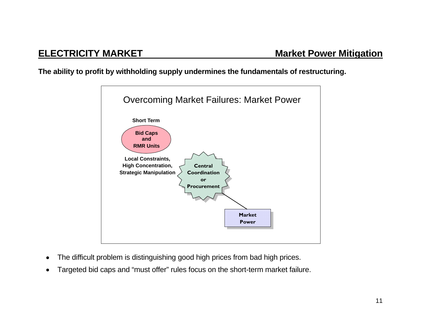### **The ability to profit by withholding supply undermines the fundamentals of restructuring.**



- •The difficult problem is distinguishing good high prices from bad high prices.
- •Targeted bid caps and "must offer" rules focus on the short-term market failure.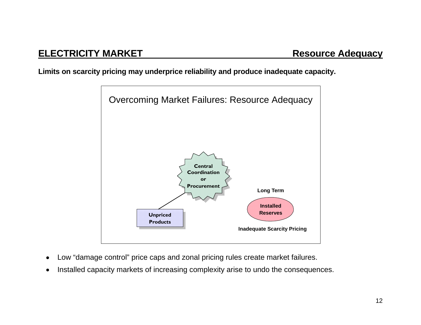# **ELECTRICITY MARKET Resource Adequacy**

**Limits on scarcity pricing may underprice reliability and produce inadequate capacity.** 



- •Low "damage control" price caps and zonal pricing rules create market failures.
- •Installed capacity markets of increasing complexity arise to undo the consequences.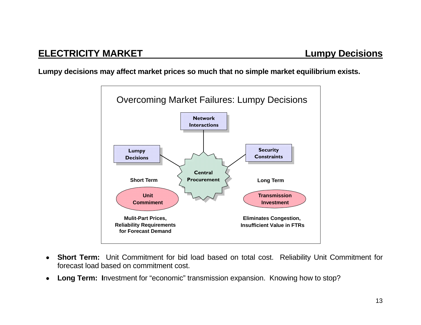**Lumpy decisions may affect market prices so much that no simple market equilibrium exists.** 



- • **Short Term:** Unit Commitment for bid load based on total cost. Reliability Unit Commitment for forecast load based on commitment cost.
- • **Long Term: I**nvestment for "economic" transmission expansion. Knowing how to stop?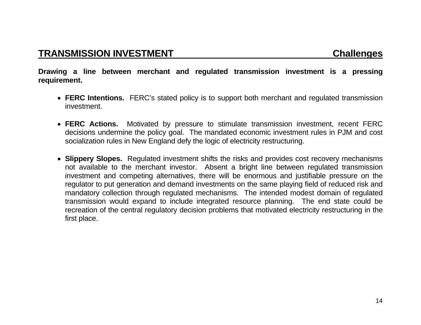**Drawing a line between merchant and regulated transmission investment is a pressing requirement.** 

- **FERC Intentions.** FERC's stated policy is to support both merchant and regulated transmission investment.
- **FERC Actions.** Motivated by pressure to stimulate transmission investment, recent FERC decisions undermine the policy goal. The mandated economic investment rules in PJM and cost socialization rules in New England defy the logic of electricity restructuring.
- **Slippery Slopes.** Regulated investment shifts the risks and provides cost recovery mechanisms not available to the merchant investor. Absent a bright line between regulated transmission investment and competing alternatives, there will be enormous and justifiable pressure on the regulator to put generation and demand investments on the same playing field of reduced risk and mandatory collection through regulated mechanisms. The intended modest domain of regulated transmission would expand to include integrated resource planning. The end state could be recreation of the central regulatory decision problems that motivated electricity restructuring in the first place.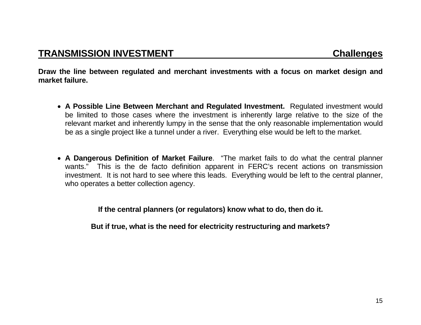**Draw the line between regulated and merchant investments with a focus on market design and market failure.** 

- **A Possible Line Between Merchant and Regulated Investment.** Regulated investment would be limited to those cases where the investment is inherently large relative to the size of the relevant market and inherently lumpy in the sense that the only reasonable implementation would be as a single project like a tunnel under a river. Everything else would be left to the market.
- **A Dangerous Definition of Market Failure**. "The market fails to do what the central planner wants." This is the de facto definition apparent in FERC's recent actions on transmission investment. It is not hard to see where this leads. Everything would be left to the central planner, who operates a better collection agency.

**If the central planners (or regulators) know what to do, then do it.** 

**But if true, what is the need for electricity restructuring and markets?**